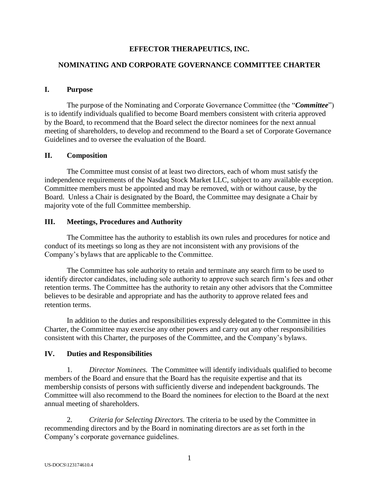# **EFFECTOR THERAPEUTICS, INC.**

# **NOMINATING AND CORPORATE GOVERNANCE COMMITTEE CHARTER**

### **I. Purpose**

The purpose of the Nominating and Corporate Governance Committee (the "*Committee*") is to identify individuals qualified to become Board members consistent with criteria approved by the Board, to recommend that the Board select the director nominees for the next annual meeting of shareholders, to develop and recommend to the Board a set of Corporate Governance Guidelines and to oversee the evaluation of the Board.

### **II. Composition**

The Committee must consist of at least two directors, each of whom must satisfy the independence requirements of the Nasdaq Stock Market LLC, subject to any available exception. Committee members must be appointed and may be removed, with or without cause, by the Board. Unless a Chair is designated by the Board, the Committee may designate a Chair by majority vote of the full Committee membership.

### **III. Meetings, Procedures and Authority**

The Committee has the authority to establish its own rules and procedures for notice and conduct of its meetings so long as they are not inconsistent with any provisions of the Company's bylaws that are applicable to the Committee.

The Committee has sole authority to retain and terminate any search firm to be used to identify director candidates, including sole authority to approve such search firm's fees and other retention terms. The Committee has the authority to retain any other advisors that the Committee believes to be desirable and appropriate and has the authority to approve related fees and retention terms.

In addition to the duties and responsibilities expressly delegated to the Committee in this Charter, the Committee may exercise any other powers and carry out any other responsibilities consistent with this Charter, the purposes of the Committee, and the Company's bylaws.

# **IV. Duties and Responsibilities**

1. *Director Nominees.* The Committee will identify individuals qualified to become members of the Board and ensure that the Board has the requisite expertise and that its membership consists of persons with sufficiently diverse and independent backgrounds. The Committee will also recommend to the Board the nominees for election to the Board at the next annual meeting of shareholders.

2. *Criteria for Selecting Directors.* The criteria to be used by the Committee in recommending directors and by the Board in nominating directors are as set forth in the Company's corporate governance guidelines.